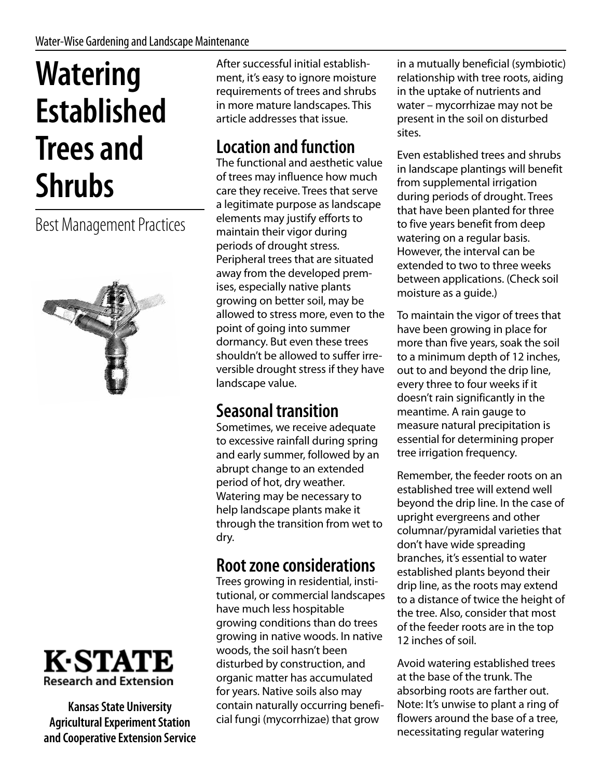# **Watering Established Trees and Shrubs**

Best Management Practices





**Kansas State University Agricultural Experiment Station and Cooperative Extension Service** After successful initial establishment, it's easy to ignore moisture requirements of trees and shrubs in more mature landscapes. This article addresses that issue.

# **Location and function**

The functional and aesthetic value of trees may influence how much care they receive. Trees that serve a legitimate purpose as landscape elements may justify efforts to maintain their vigor during periods of drought stress. Peripheral trees that are situated away from the developed premises, especially native plants growing on better soil, may be allowed to stress more, even to the point of going into summer dormancy. But even these trees shouldn't be allowed to suffer irreversible drought stress if they have landscape value.

### **Seasonal transition**

Sometimes, we receive adequate to excessive rainfall during spring and early summer, followed by an abrupt change to an extended period of hot, dry weather. Watering may be necessary to help landscape plants make it through the transition from wet to dry.

### **Root zone considerations**

Trees growing in residential, institutional, or commercial landscapes have much less hospitable growing conditions than do trees growing in native woods. In native woods, the soil hasn't been disturbed by construction, and organic matter has accumulated for years. Native soils also may contain naturally occurring beneficial fungi (mycorrhizae) that grow

in a mutually beneficial (symbiotic) relationship with tree roots, aiding in the uptake of nutrients and water – mycorrhizae may not be present in the soil on disturbed sites.

Even established trees and shrubs in landscape plantings will benefit from supplemental irrigation during periods of drought. Trees that have been planted for three to five years benefit from deep watering on a regular basis. However, the interval can be extended to two to three weeks between applications. (Check soil moisture as a guide.)

To maintain the vigor of trees that have been growing in place for more than five years, soak the soil to a minimum depth of 12 inches, out to and beyond the drip line, every three to four weeks if it doesn't rain significantly in the meantime. A rain gauge to measure natural precipitation is essential for determining proper tree irrigation frequency.

Remember, the feeder roots on an established tree will extend well beyond the drip line. In the case of upright evergreens and other columnar/pyramidal varieties that don't have wide spreading branches, it's essential to water established plants beyond their drip line, as the roots may extend to a distance of twice the height of the tree. Also, consider that most of the feeder roots are in the top 12 inches of soil.

Avoid watering established trees at the base of the trunk. The absorbing roots are farther out. Note: It's unwise to plant a ring of flowers around the base of a tree, necessitating regular watering